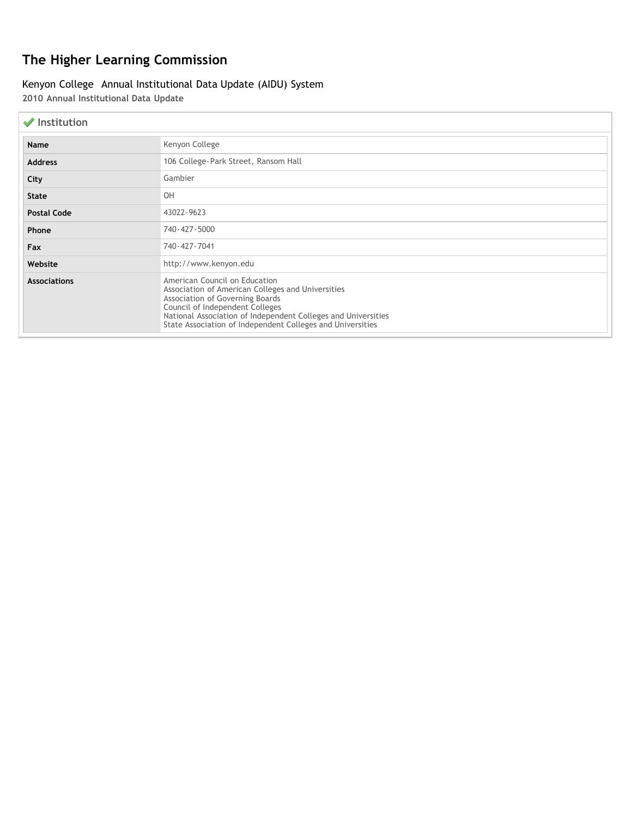## **The Higher Learning Commission**

## Kenyon College Annual Institutional Data Update (AIDU) System

**2010 Annual Institutional Data Update**

| $\blacktriangleright$ Institution |                                                                                                                                                                                                                                                                                         |  |  |  |  |  |  |
|-----------------------------------|-----------------------------------------------------------------------------------------------------------------------------------------------------------------------------------------------------------------------------------------------------------------------------------------|--|--|--|--|--|--|
| Name                              | Kenyon College                                                                                                                                                                                                                                                                          |  |  |  |  |  |  |
| <b>Address</b>                    | 106 College-Park Street, Ransom Hall                                                                                                                                                                                                                                                    |  |  |  |  |  |  |
| City                              | Gambier                                                                                                                                                                                                                                                                                 |  |  |  |  |  |  |
| <b>State</b>                      | OH                                                                                                                                                                                                                                                                                      |  |  |  |  |  |  |
| <b>Postal Code</b>                | 43022-9623                                                                                                                                                                                                                                                                              |  |  |  |  |  |  |
| Phone                             | 740-427-5000                                                                                                                                                                                                                                                                            |  |  |  |  |  |  |
| Fax                               | 740-427-7041                                                                                                                                                                                                                                                                            |  |  |  |  |  |  |
| Website                           | http://www.kenyon.edu                                                                                                                                                                                                                                                                   |  |  |  |  |  |  |
| <b>Associations</b>               | American Council on Education<br>Association of American Colleges and Universities<br>Association of Governing Boards<br>Council of Independent Colleges<br>National Association of Independent Colleges and Universities<br>State Association of Independent Colleges and Universities |  |  |  |  |  |  |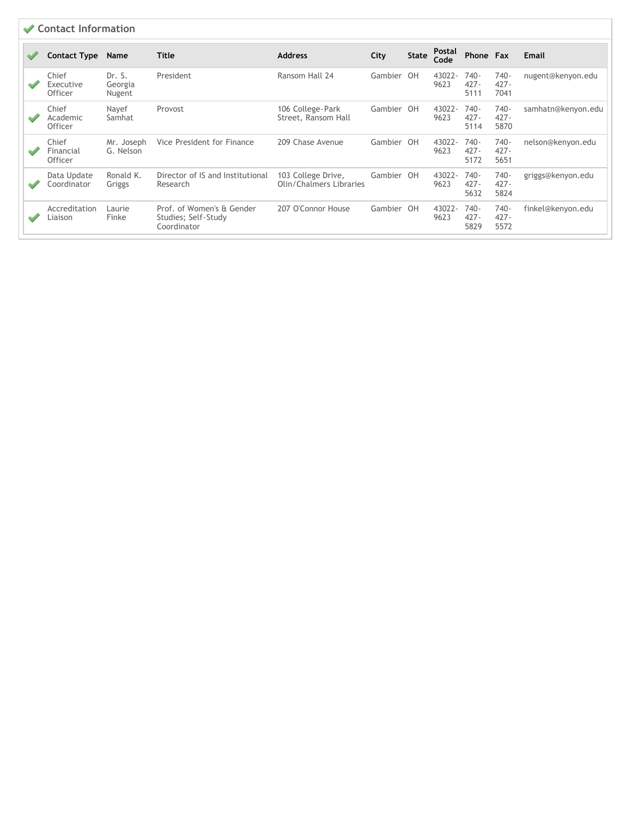| <b>◆ Contact Information</b>  |                             |                                                                 |                                               |            |              |                       |                            |                            |                    |
|-------------------------------|-----------------------------|-----------------------------------------------------------------|-----------------------------------------------|------------|--------------|-----------------------|----------------------------|----------------------------|--------------------|
| <b>Contact Type</b>           | Name                        | <b>Title</b>                                                    | <b>Address</b>                                | City       | <b>State</b> | <b>Postal</b><br>Code | Phone Fax                  |                            | Email              |
| Chief<br>Executive<br>Officer | Dr. S.<br>Georgia<br>Nugent | President                                                       | Ransom Hall 24                                | Gambier OH |              | 43022-<br>9623        | $740 -$<br>$427 -$<br>5111 | 740-<br>$427 -$<br>7041    | nugent@kenyon.edu  |
| Chief<br>Academic<br>Officer  | Nayef<br>Samhat             | Provost                                                         | 106 College-Park<br>Street, Ransom Hall       | Gambier OH |              | 43022-<br>9623        | $740 -$<br>$427 -$<br>5114 | 740-<br>$427 -$<br>5870    | samhatn@kenyon.edu |
| Chief<br>Financial<br>Officer | Mr. Joseph<br>G. Nelson     | Vice President for Finance                                      | 209 Chase Avenue                              | Gambier OH |              | 43022-<br>9623        | $740 -$<br>$427 -$<br>5172 | $740 -$<br>$427 -$<br>5651 | nelson@kenyon.edu  |
| Data Update<br>Coordinator    | Ronald K.<br>Griggs         | Director of IS and Institutional<br>Research                    | 103 College Drive,<br>Olin/Chalmers Libraries | Gambier OH |              | 43022-<br>9623        | $740 -$<br>$427 -$<br>5632 | 740-<br>$427 -$<br>5824    | griggs@kenyon.edu  |
| Accreditation<br>Liaison      | Laurie<br>Finke             | Prof. of Women's & Gender<br>Studies; Self-Study<br>Coordinator | 207 O'Connor House                            | Gambier OH |              | 43022-<br>9623        | $740 -$<br>$427 -$<br>5829 | $740 -$<br>$427 -$<br>5572 | finkel@kenyon.edu  |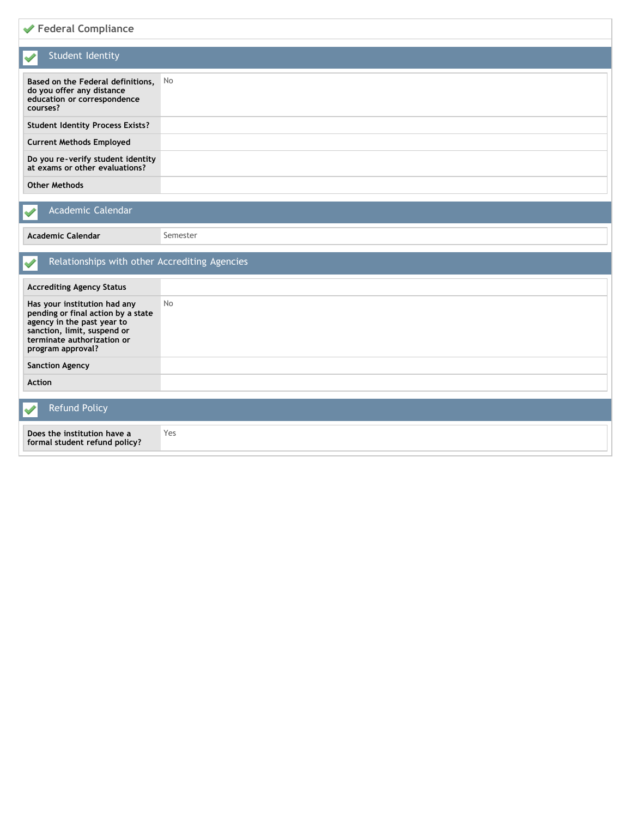| ← Federal Compliance                                                                                                                                                               |           |  |  |  |  |  |  |
|------------------------------------------------------------------------------------------------------------------------------------------------------------------------------------|-----------|--|--|--|--|--|--|
| <b>Student Identity</b>                                                                                                                                                            |           |  |  |  |  |  |  |
| Based on the Federal definitions,<br>do you offer any distance<br>education or correspondence<br>courses?                                                                          | No        |  |  |  |  |  |  |
| <b>Student Identity Process Exists?</b>                                                                                                                                            |           |  |  |  |  |  |  |
| <b>Current Methods Employed</b>                                                                                                                                                    |           |  |  |  |  |  |  |
| Do you re-verify student identity<br>at exams or other evaluations?                                                                                                                |           |  |  |  |  |  |  |
| <b>Other Methods</b>                                                                                                                                                               |           |  |  |  |  |  |  |
| Academic Calendar<br>$\mathscr{S}$                                                                                                                                                 |           |  |  |  |  |  |  |
| <b>Academic Calendar</b>                                                                                                                                                           | Semester  |  |  |  |  |  |  |
| Relationships with other Accrediting Agencies<br>✔                                                                                                                                 |           |  |  |  |  |  |  |
| <b>Accrediting Agency Status</b>                                                                                                                                                   |           |  |  |  |  |  |  |
| Has your institution had any<br>pending or final action by a state<br>agency in the past year to<br>sanction, limit, suspend or<br>terminate authorization or<br>program approval? | <b>No</b> |  |  |  |  |  |  |
| <b>Sanction Agency</b>                                                                                                                                                             |           |  |  |  |  |  |  |
| <b>Action</b>                                                                                                                                                                      |           |  |  |  |  |  |  |
| <b>Refund Policy</b>                                                                                                                                                               |           |  |  |  |  |  |  |
| Does the institution have a<br>formal student refund policy?                                                                                                                       | Yes       |  |  |  |  |  |  |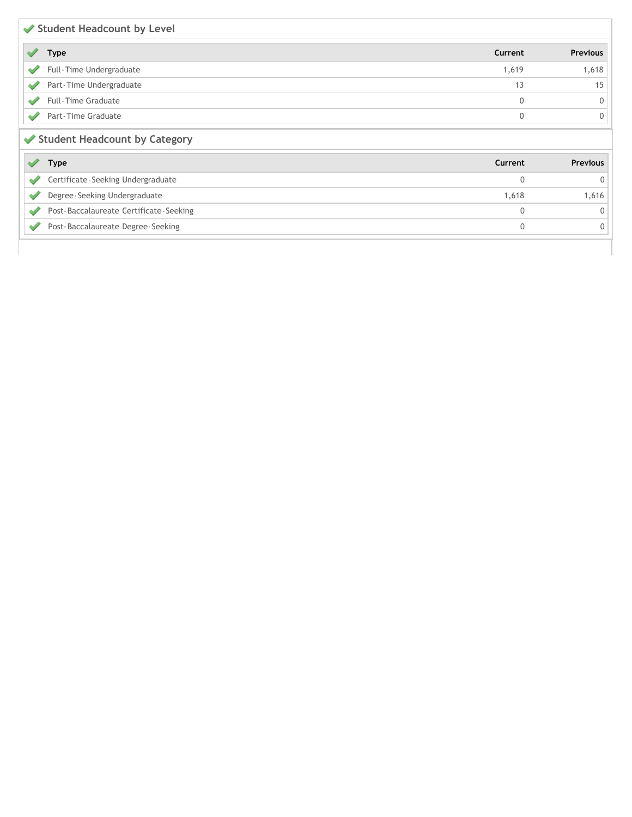|                               | Student Headcount by Level |          |                 |  |  |  |  |  |
|-------------------------------|----------------------------|----------|-----------------|--|--|--|--|--|
|                               | <b>Type</b>                | Current  | <b>Previous</b> |  |  |  |  |  |
| s                             | Full-Time Undergraduate    | 1,619    | 1,618           |  |  |  |  |  |
| ⊌                             | Part-Time Undergraduate    | 13       | 15              |  |  |  |  |  |
| s                             | <b>Full-Time Graduate</b>  | $\Omega$ | υ               |  |  |  |  |  |
|                               | Part-Time Graduate         | 0        | 0               |  |  |  |  |  |
| Student Headcount by Category |                            |          |                 |  |  |  |  |  |
|                               | Type                       | Current  | <b>Previous</b> |  |  |  |  |  |

|  | Certificate-Seeking Undergraduate      |       |      |
|--|----------------------------------------|-------|------|
|  | Degree-Seeking Undergraduate           | 1.618 | .616 |
|  | Post-Baccalaureate Certificate-Seeking |       |      |
|  | Post-Baccalaureate Degree-Seeking      |       |      |
|  |                                        |       |      |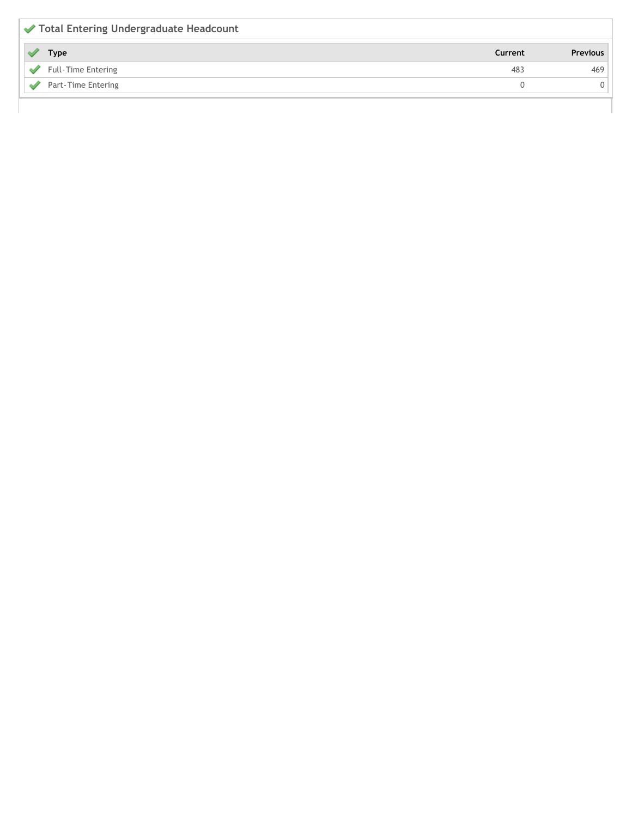| ↓ Total Entering Undergraduate Headcount |         |                 |  |  |  |
|------------------------------------------|---------|-----------------|--|--|--|
| Type                                     | Current | <b>Previous</b> |  |  |  |
| <b>Full-Time Entering</b>                | 483     |                 |  |  |  |
| Part-Time Entering                       |         |                 |  |  |  |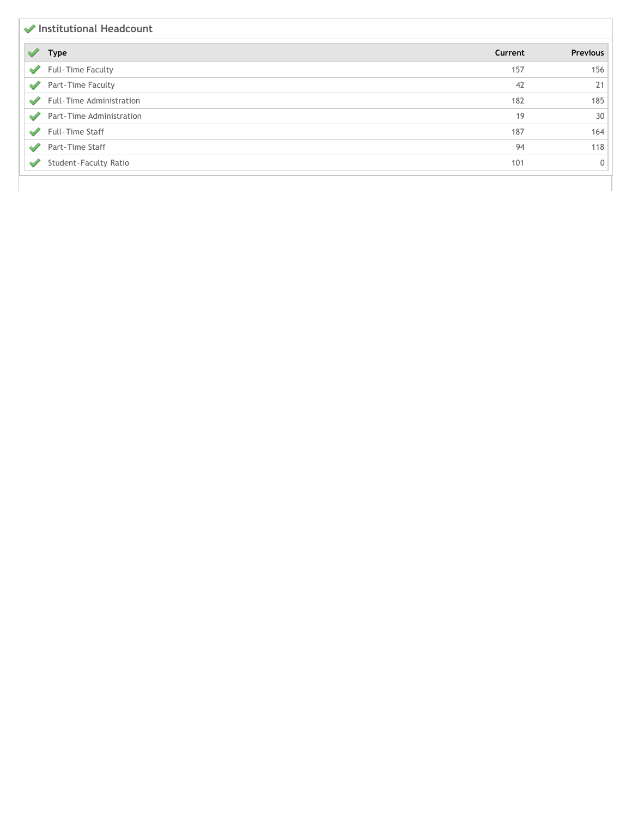| Institutional Headcount      |         |                 |  |  |  |  |  |
|------------------------------|---------|-----------------|--|--|--|--|--|
| Type                         | Current | <b>Previous</b> |  |  |  |  |  |
| <b>Full-Time Faculty</b>     | 157     | 156             |  |  |  |  |  |
| Part-Time Faculty            | 42      | 21              |  |  |  |  |  |
| Full-Time Administration     | 182     | 185             |  |  |  |  |  |
| Part-Time Administration     | 19      | 30              |  |  |  |  |  |
| Full-Time Staff              | 187     | 164             |  |  |  |  |  |
| Part-Time Staff              | 94      | 118             |  |  |  |  |  |
| <b>Student-Faculty Ratio</b> | 101     | 0               |  |  |  |  |  |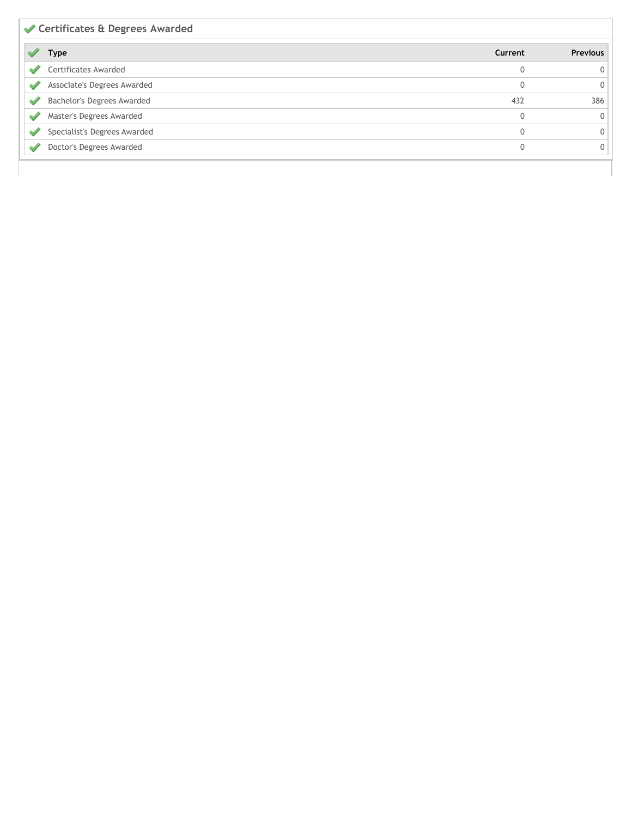## **Certificates & Degrees Awarded Type Current Previous** Certificates Awarded  $\boldsymbol{0}$ Associate's Degrees Awarded 0 Bachelor's Degrees Awarded 386 Master's Degrees Awarded  $\boldsymbol{0}$ Specialist's Degrees Awarded  $\,$   $\,$   $\,$ Doctor's Degrees Awarded  $\boldsymbol{0}$

0

 $\boldsymbol{0}$ 

 $\boldsymbol{0}$ 

 $\boldsymbol{0}$ 

 $\boldsymbol{0}$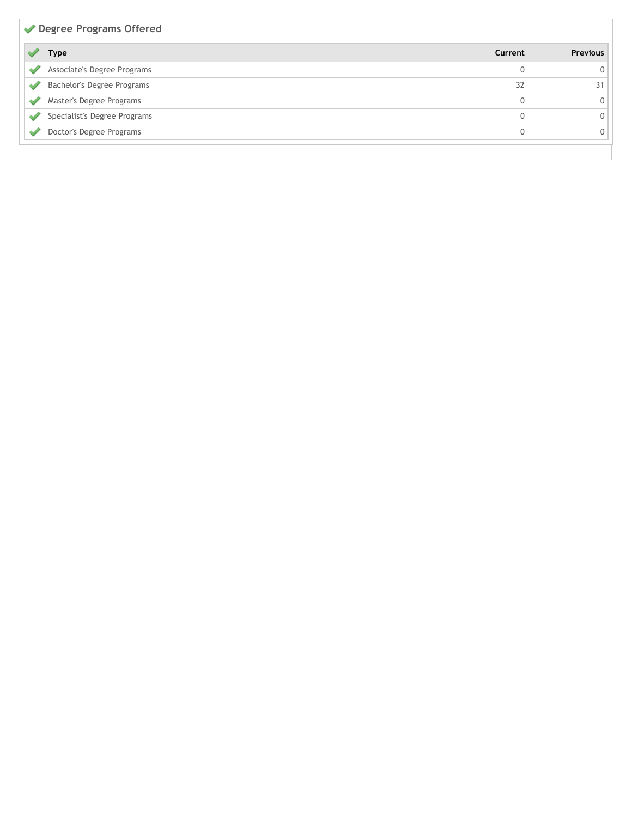| Degree Programs Offered      |          |                 |  |  |  |  |  |
|------------------------------|----------|-----------------|--|--|--|--|--|
| Type                         | Current  | <b>Previous</b> |  |  |  |  |  |
| Associate's Degree Programs  | $\Omega$ |                 |  |  |  |  |  |
| Bachelor's Degree Programs   | 32       | 31              |  |  |  |  |  |
| Master's Degree Programs     | $\Omega$ | 0               |  |  |  |  |  |
| Specialist's Degree Programs | $\Omega$ |                 |  |  |  |  |  |
| Doctor's Degree Programs     | $\Omega$ | $\sigma$        |  |  |  |  |  |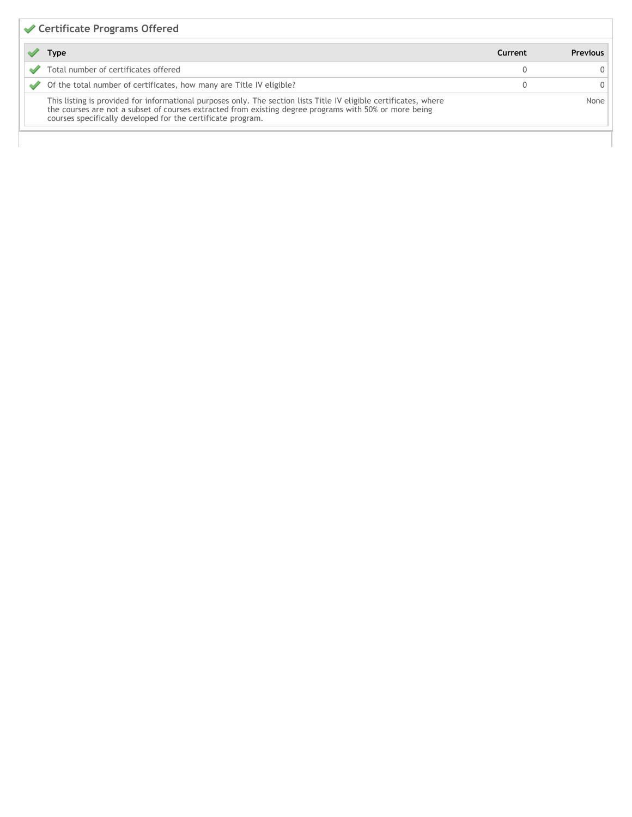## **Certificate Programs Offered**

| Гуре                                                                                                                                                                                                                                                                                       | Current | <b>Previous</b> |
|--------------------------------------------------------------------------------------------------------------------------------------------------------------------------------------------------------------------------------------------------------------------------------------------|---------|-----------------|
| Total number of certificates offered                                                                                                                                                                                                                                                       |         |                 |
| Of the total number of certificates, how many are Title IV eligible?                                                                                                                                                                                                                       |         |                 |
| This listing is provided for informational purposes only. The section lists Title IV eligible certificates, where<br>the courses are not a subset of courses extracted from existing degree programs with 50% or more being<br>courses specifically developed for the certificate program. |         | None            |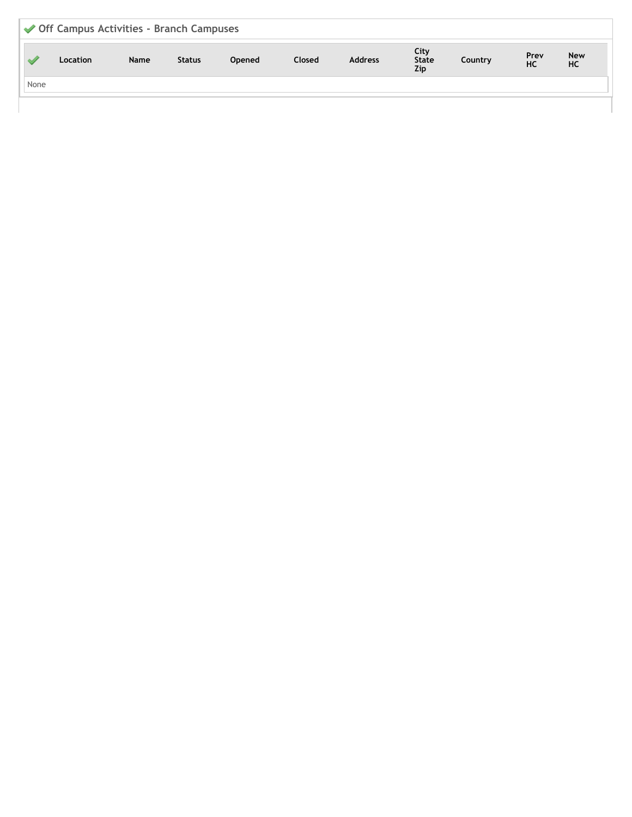| Off Campus Activities - Branch Campuses |          |      |               |               |        |                |                                    |         |                   |                  |
|-----------------------------------------|----------|------|---------------|---------------|--------|----------------|------------------------------------|---------|-------------------|------------------|
|                                         | Location | Name | <b>Status</b> | <b>Opened</b> | Closed | <b>Address</b> | City<br><b>State</b><br><b>Zip</b> | Country | Prev<br><b>HC</b> | New<br><b>HC</b> |
| None                                    |          |      |               |               |        |                |                                    |         |                   |                  |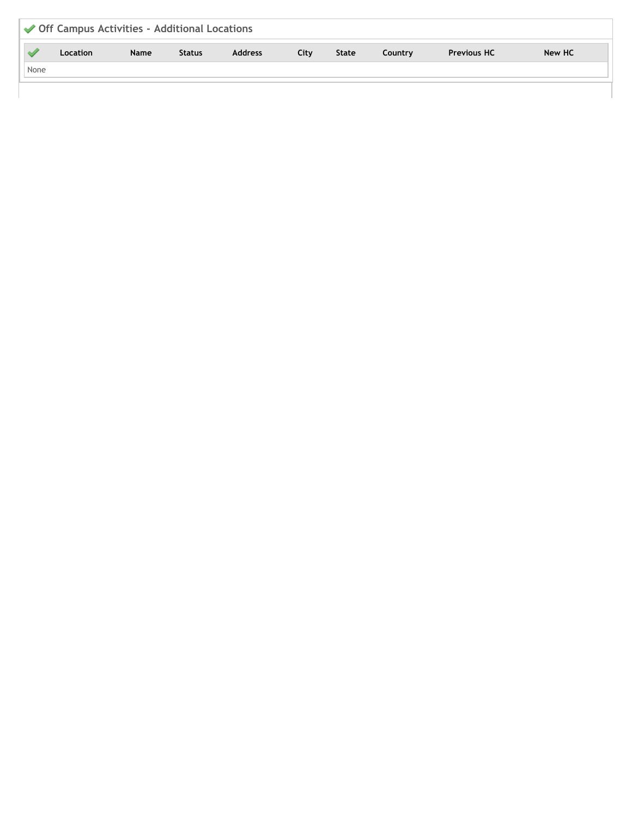|      | ◆ Off Campus Activities - Additional Locations |      |               |                |      |              |         |                    |        |
|------|------------------------------------------------|------|---------------|----------------|------|--------------|---------|--------------------|--------|
|      | <b>Location</b>                                | Name | <b>Status</b> | <b>Address</b> | City | <b>State</b> | Country | <b>Previous HC</b> | New HC |
| None |                                                |      |               |                |      |              |         |                    |        |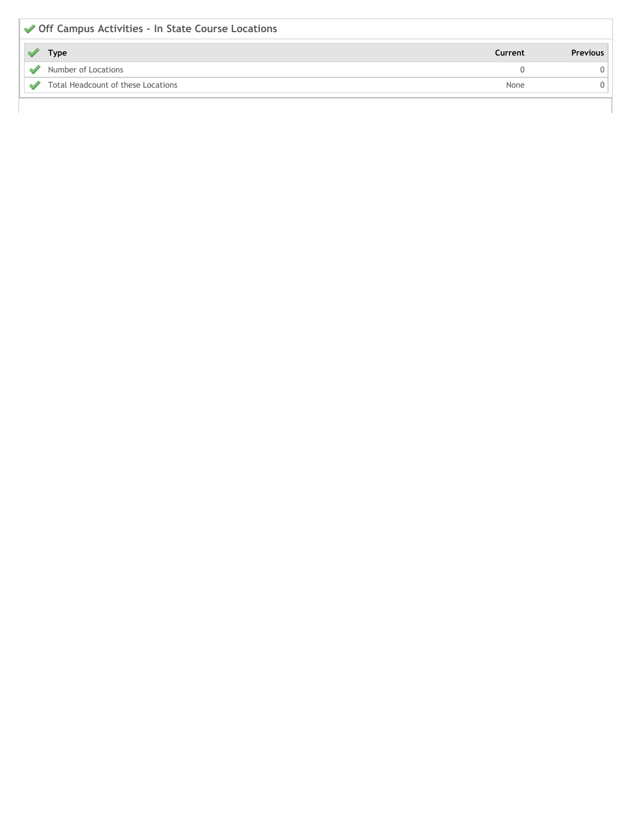| Off Campus Activities - In State Course Locations |         |                 |  |  |  |  |
|---------------------------------------------------|---------|-----------------|--|--|--|--|
| Type                                              | Current | <b>Previous</b> |  |  |  |  |
| Number of Locations                               |         |                 |  |  |  |  |
| Total Headcount of these Locations                | None    |                 |  |  |  |  |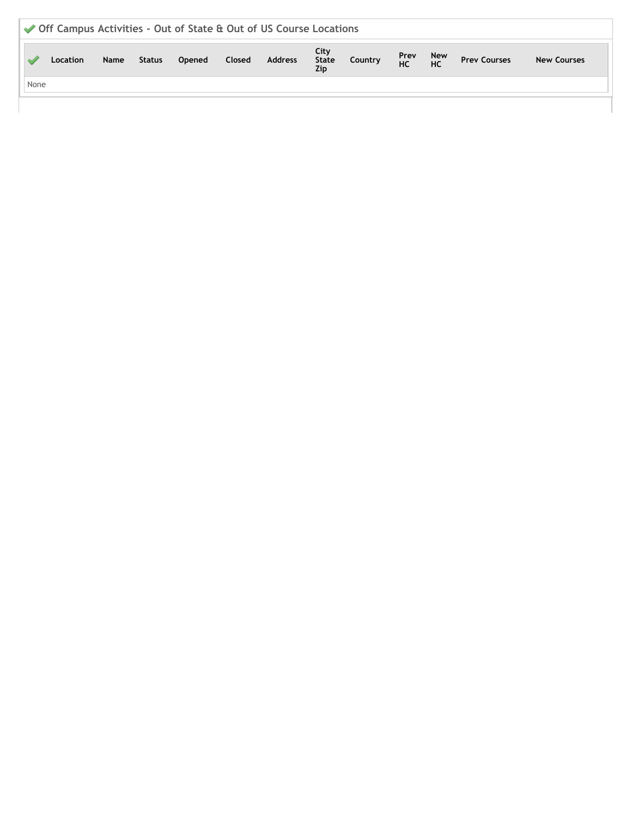| ◆ Off Campus Activities - Out of State & Out of US Course Locations |                 |      |               |        |        |         |                      |         |                   |  |                     |                    |
|---------------------------------------------------------------------|-----------------|------|---------------|--------|--------|---------|----------------------|---------|-------------------|--|---------------------|--------------------|
|                                                                     | <b>Location</b> | Name | <b>Status</b> | Opened | Closed | Address | City<br>State<br>Zip | Country | Prev New<br>HC HC |  | <b>Prev Courses</b> | <b>New Courses</b> |
| None                                                                |                 |      |               |        |        |         |                      |         |                   |  |                     |                    |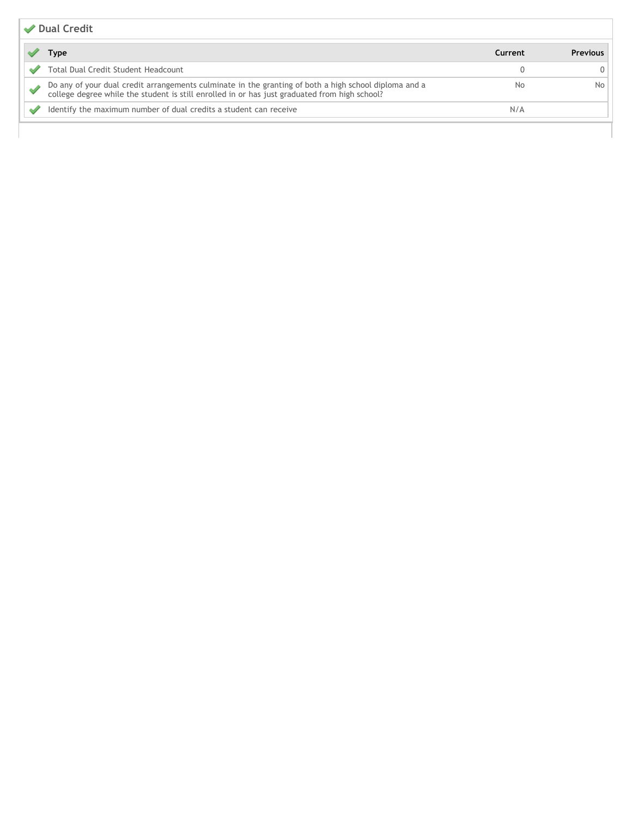| Dual Credit |                                                                                                                                                                                                     |         |                 |  |  |  |  |
|-------------|-----------------------------------------------------------------------------------------------------------------------------------------------------------------------------------------------------|---------|-----------------|--|--|--|--|
|             | Type                                                                                                                                                                                                | Current | <b>Previous</b> |  |  |  |  |
|             | Total Dual Credit Student Headcount                                                                                                                                                                 |         |                 |  |  |  |  |
|             | Do any of your dual credit arrangements culminate in the granting of both a high school diploma and a college degree while the student is still enrolled in or has just graduated from high school? | No      | No.             |  |  |  |  |
|             | Identify the maximum number of dual credits a student can receive                                                                                                                                   | N/A     |                 |  |  |  |  |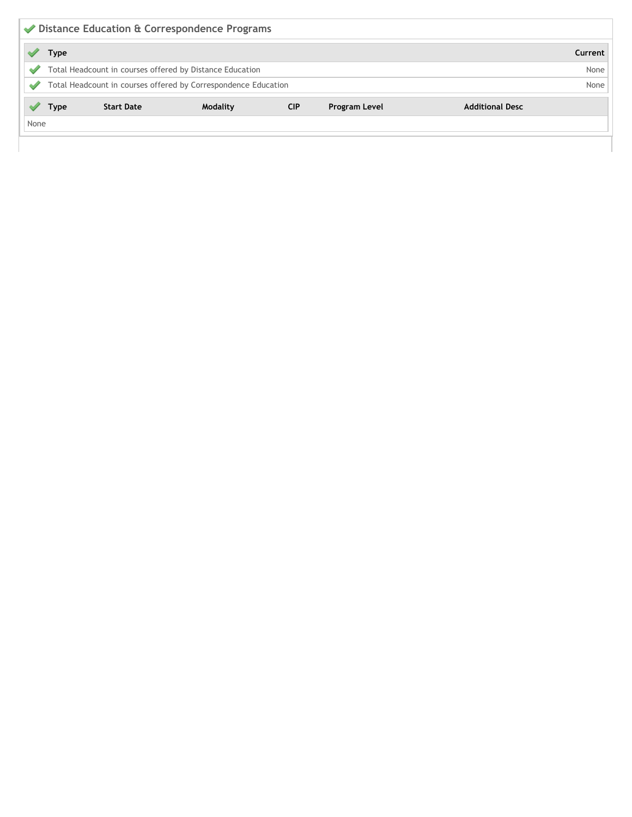| Distance Education & Correspondence Programs |                                                          |                   |                                                                |            |               |                        |      |  |  |  |  |
|----------------------------------------------|----------------------------------------------------------|-------------------|----------------------------------------------------------------|------------|---------------|------------------------|------|--|--|--|--|
|                                              | Type                                                     |                   |                                                                |            |               |                        |      |  |  |  |  |
|                                              | Total Headcount in courses offered by Distance Education |                   |                                                                |            |               |                        |      |  |  |  |  |
|                                              |                                                          |                   | Total Headcount in courses offered by Correspondence Education |            |               |                        | None |  |  |  |  |
|                                              | Type                                                     | <b>Start Date</b> | <b>Modality</b>                                                | <b>CIP</b> | Program Level | <b>Additional Desc</b> |      |  |  |  |  |
| None                                         |                                                          |                   |                                                                |            |               |                        |      |  |  |  |  |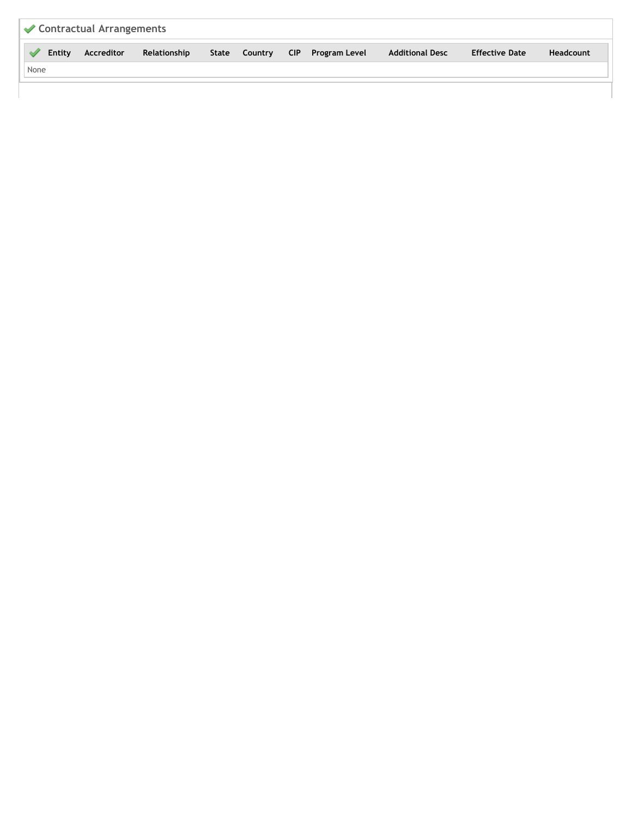| └ Contractual Arrangements |            |              |       |  |  |                           |                        |                       |           |  |
|----------------------------|------------|--------------|-------|--|--|---------------------------|------------------------|-----------------------|-----------|--|
| Entity                     | Accreditor | Relationship | State |  |  | Country CIP Program Level | <b>Additional Desc</b> | <b>Effective Date</b> | Headcount |  |
| None                       |            |              |       |  |  |                           |                        |                       |           |  |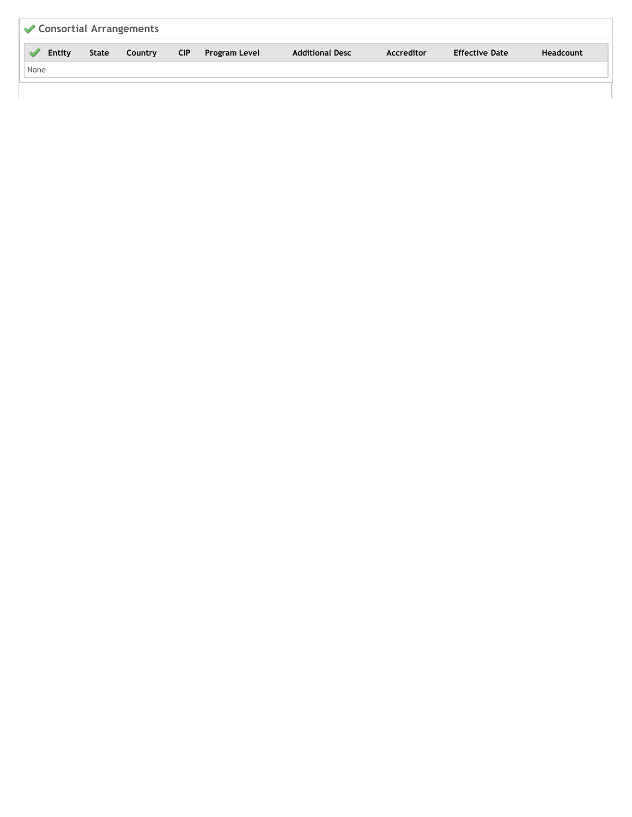| ◯ Consortial Arrangements |        |       |         |            |                      |                        |            |                       |           |  |
|---------------------------|--------|-------|---------|------------|----------------------|------------------------|------------|-----------------------|-----------|--|
|                           | Entity | State | Country | <b>CIP</b> | <b>Program Level</b> | <b>Additional Desc</b> | Accreditor | <b>Effective Date</b> | Headcount |  |
| None                      |        |       |         |            |                      |                        |            |                       |           |  |